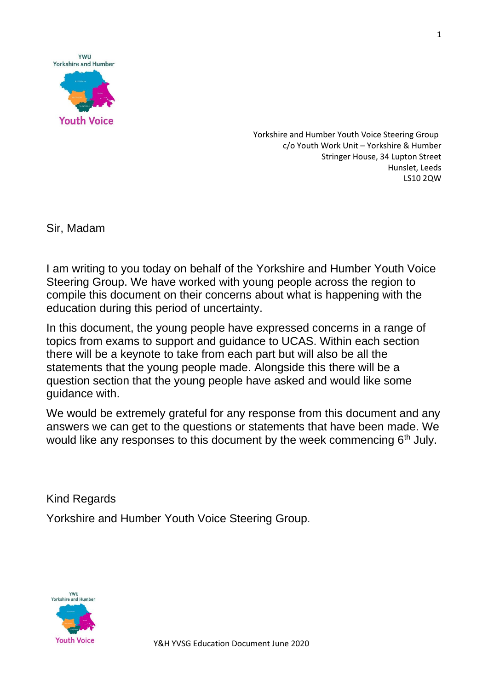

 Yorkshire and Humber Youth Voice Steering Group c/o Youth Work Unit – Yorkshire & Humber Stringer House, 34 Lupton Street Hunslet, Leeds LS10 2QW

Sir, Madam

I am writing to you today on behalf of the Yorkshire and Humber Youth Voice Steering Group. We have worked with young people across the region to compile this document on their concerns about what is happening with the education during this period of uncertainty.

In this document, the young people have expressed concerns in a range of topics from exams to support and guidance to UCAS. Within each section there will be a keynote to take from each part but will also be all the statements that the young people made. Alongside this there will be a question section that the young people have asked and would like some guidance with.

We would be extremely grateful for any response from this document and any answers we can get to the questions or statements that have been made. We would like any responses to this document by the week commencing  $6<sup>th</sup>$  July.

Kind Regards

Yorkshire and Humber Youth Voice Steering Group.

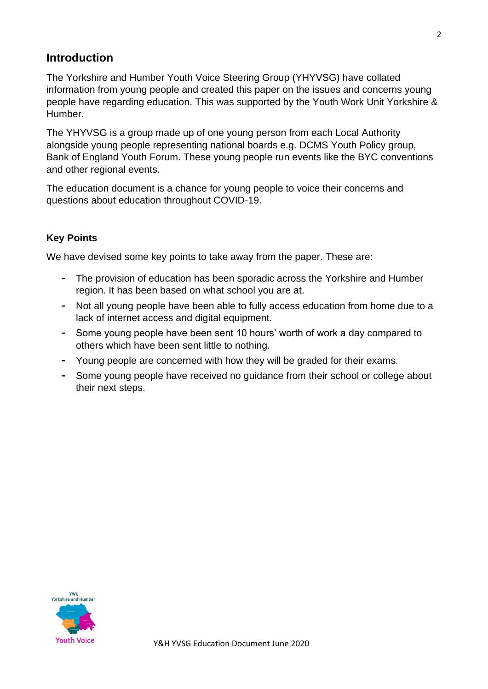## **Introduction**

The Yorkshire and Humber Youth Voice Steering Group (YHYVSG) have collated information from young people and created this paper on the issues and concerns young people have regarding education. This was supported by the Youth Work Unit Yorkshire & Humber.

The YHYVSG is a group made up of one young person from each Local Authority alongside young people representing national boards e.g. DCMS Youth Policy group, Bank of England Youth Forum. These young people run events like the BYC conventions and other regional events.

The education document is a chance for young people to voice their concerns and questions about education throughout COVID-19.

### **Key Points**

We have devised some key points to take away from the paper. These are:

- **-** The provision of education has been sporadic across the Yorkshire and Humber region. It has been based on what school you are at.
- **-** Not all young people have been able to fully access education from home due to a lack of internet access and digital equipment.
- **-** Some young people have been sent 10 hours' worth of work a day compared to others which have been sent little to nothing.
- **-** Young people are concerned with how they will be graded for their exams.
- **-** Some young people have received no guidance from their school or college about their next steps.



 $\overline{\phantom{a}}$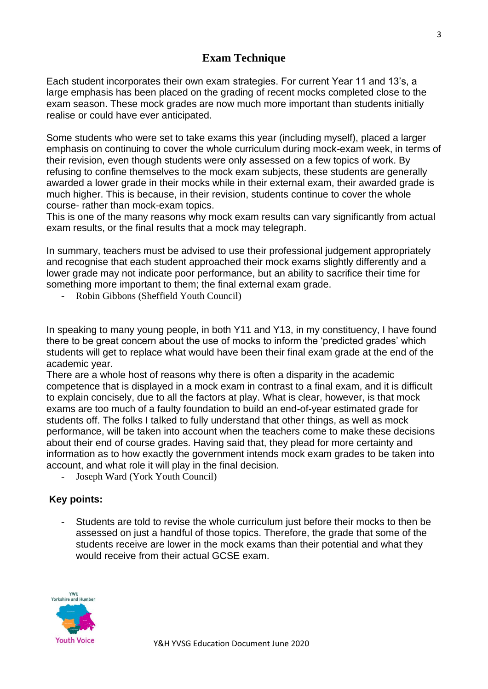### **Exam Technique**

Each student incorporates their own exam strategies. For current Year 11 and 13's, a large emphasis has been placed on the grading of recent mocks completed close to the exam season. These mock grades are now much more important than students initially realise or could have ever anticipated.

Some students who were set to take exams this year (including myself), placed a larger emphasis on continuing to cover the whole curriculum during mock-exam week, in terms of their revision, even though students were only assessed on a few topics of work. By refusing to confine themselves to the mock exam subjects, these students are generally awarded a lower grade in their mocks while in their external exam, their awarded grade is much higher. This is because, in their revision, students continue to cover the whole course- rather than mock-exam topics.

This is one of the many reasons why mock exam results can vary significantly from actual exam results, or the final results that a mock may telegraph.

In summary, teachers must be advised to use their professional judgement appropriately and recognise that each student approached their mock exams slightly differently and a lower grade may not indicate poor performance, but an ability to sacrifice their time for something more important to them; the final external exam grade.

- Robin Gibbons (Sheffield Youth Council)

In speaking to many young people, in both Y11 and Y13, in my constituency, I have found there to be great concern about the use of mocks to inform the 'predicted grades' which students will get to replace what would have been their final exam grade at the end of the academic year.

There are a whole host of reasons why there is often a disparity in the academic competence that is displayed in a mock exam in contrast to a final exam, and it is difficult to explain concisely, due to all the factors at play. What is clear, however, is that mock exams are too much of a faulty foundation to build an end-of-year estimated grade for students off. The folks I talked to fully understand that other things, as well as mock performance, will be taken into account when the teachers come to make these decisions about their end of course grades. Having said that, they plead for more certainty and information as to how exactly the government intends mock exam grades to be taken into account, and what role it will play in the final decision.

Joseph Ward (York Youth Council)

### **Key points:**

Students are told to revise the whole curriculum just before their mocks to then be assessed on just a handful of those topics. Therefore, the grade that some of the students receive are lower in the mock exams than their potential and what they would receive from their actual GCSE exam.

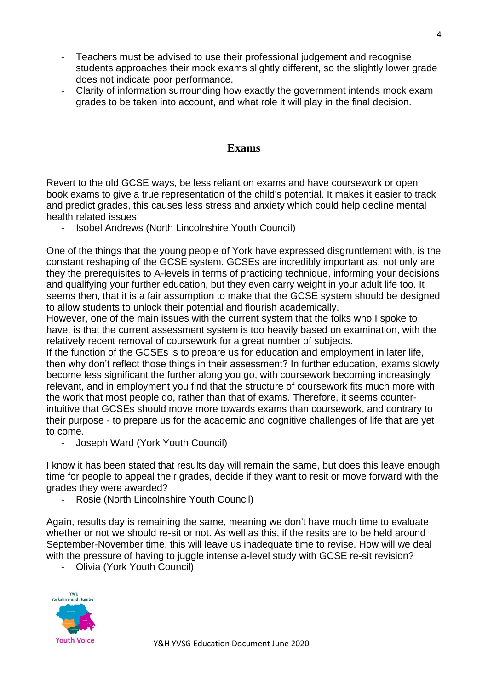- Teachers must be advised to use their professional judgement and recognise students approaches their mock exams slightly different, so the slightly lower grade does not indicate poor performance.
- Clarity of information surrounding how exactly the government intends mock exam grades to be taken into account, and what role it will play in the final decision.

#### **Exams**

Revert to the old GCSE ways, be less reliant on exams and have coursework or open book exams to give a true representation of the child's potential. It makes it easier to track and predict grades, this causes less stress and anxiety which could help decline mental health related issues.

Isobel Andrews (North Lincolnshire Youth Council)

One of the things that the young people of York have expressed disgruntlement with, is the constant reshaping of the GCSE system. GCSEs are incredibly important as, not only are they the prerequisites to A-levels in terms of practicing technique, informing your decisions and qualifying your further education, but they even carry weight in your adult life too. It seems then, that it is a fair assumption to make that the GCSE system should be designed to allow students to unlock their potential and flourish academically.

However, one of the main issues with the current system that the folks who I spoke to have, is that the current assessment system is too heavily based on examination, with the relatively recent removal of coursework for a great number of subjects.

If the function of the GCSEs is to prepare us for education and employment in later life, then why don't reflect those things in their assessment? In further education, exams slowly become less significant the further along you go, with coursework becoming increasingly relevant, and in employment you find that the structure of coursework fits much more with the work that most people do, rather than that of exams. Therefore, it seems counterintuitive that GCSEs should move more towards exams than coursework, and contrary to their purpose - to prepare us for the academic and cognitive challenges of life that are yet to come.

- Joseph Ward (York Youth Council)

I know it has been stated that results day will remain the same, but does this leave enough time for people to appeal their grades, decide if they want to resit or move forward with the grades they were awarded?

Rosie (North Lincolnshire Youth Council)

Again, results day is remaining the same, meaning we don't have much time to evaluate whether or not we should re-sit or not. As well as this, if the resits are to be held around September-November time, this will leave us inadequate time to revise. How will we deal with the pressure of having to juggle intense a-level study with GCSE re-sit revision?

- Olivia (York Youth Council)

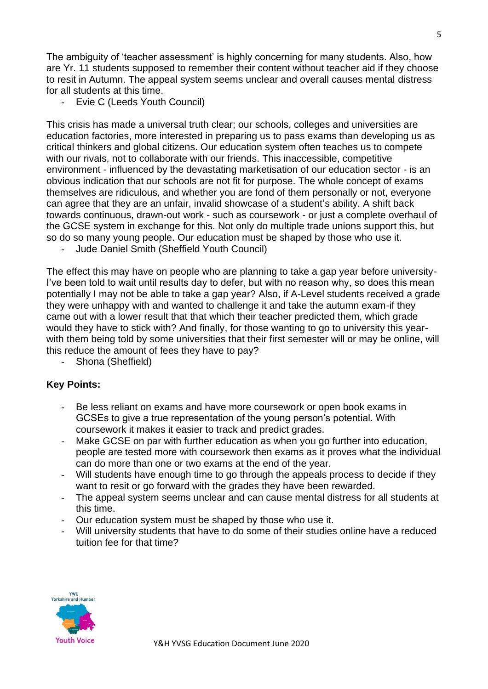The ambiguity of 'teacher assessment' is highly concerning for many students. Also, how are Yr. 11 students supposed to remember their content without teacher aid if they choose to resit in Autumn. The appeal system seems unclear and overall causes mental distress for all students at this time.

5

- Evie C (Leeds Youth Council)

This crisis has made a universal truth clear; our schools, colleges and universities are education factories, more interested in preparing us to pass exams than developing us as critical thinkers and global citizens. Our education system often teaches us to compete with our rivals, not to collaborate with our friends. This inaccessible, competitive environment - influenced by the devastating marketisation of our education sector - is an obvious indication that our schools are not fit for purpose. The whole concept of exams themselves are ridiculous, and whether you are fond of them personally or not, everyone can agree that they are an unfair, invalid showcase of a student's ability. A shift back towards continuous, drawn-out work - such as coursework - or just a complete overhaul of the GCSE system in exchange for this. Not only do multiple trade unions support this, but so do so many young people. Our education must be shaped by those who use it.

- Jude Daniel Smith (Sheffield Youth Council)

The effect this may have on people who are planning to take a gap year before university-I've been told to wait until results day to defer, but with no reason why, so does this mean potentially I may not be able to take a gap year? Also, if A-Level students received a grade they were unhappy with and wanted to challenge it and take the autumn exam-if they came out with a lower result that that which their teacher predicted them, which grade would they have to stick with? And finally, for those wanting to go to university this yearwith them being told by some universities that their first semester will or may be online, will this reduce the amount of fees they have to pay?

Shona (Sheffield)

### **Key Points:**

- Be less reliant on exams and have more coursework or open book exams in GCSEs to give a true representation of the young person's potential. With coursework it makes it easier to track and predict grades.
- Make GCSE on par with further education as when you go further into education, people are tested more with coursework then exams as it proves what the individual can do more than one or two exams at the end of the year.
- Will students have enough time to go through the appeals process to decide if they want to resit or go forward with the grades they have been rewarded.
- The appeal system seems unclear and can cause mental distress for all students at this time.
- Our education system must be shaped by those who use it.
- Will university students that have to do some of their studies online have a reduced tuition fee for that time?

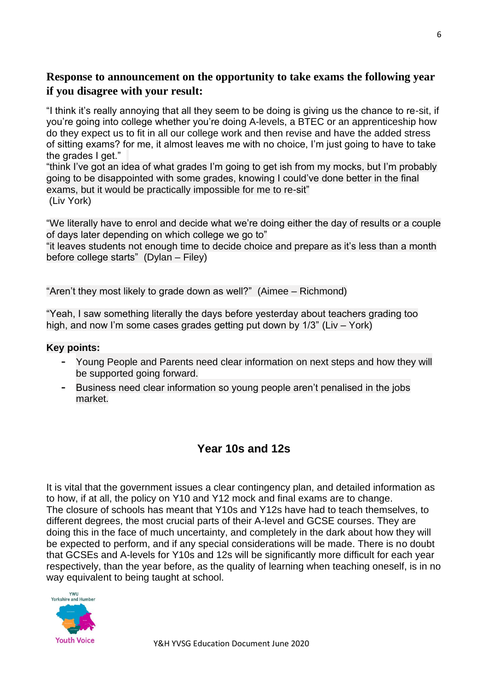### **Response to announcement on the opportunity to take exams the following year if you disagree with your result:**

"I think it's really annoying that all they seem to be doing is giving us the chance to re-sit, if you're going into college whether you're doing A-levels, a BTEC or an apprenticeship how do they expect us to fit in all our college work and then revise and have the added stress of sitting exams? for me, it almost leaves me with no choice, I'm just going to have to take the grades I get."

"think I've got an idea of what grades I'm going to get ish from my mocks, but I'm probably going to be disappointed with some grades, knowing I could've done better in the final exams, but it would be practically impossible for me to re-sit" (Liv York)

"We literally have to enrol and decide what we're doing either the day of results or a couple of days later depending on which college we go to"

"it leaves students not enough time to decide choice and prepare as it's less than a month before college starts" (Dylan – Filey)

"Aren't they most likely to grade down as well?" (Aimee – Richmond)

"Yeah, I saw something literally the days before yesterday about teachers grading too high, and now I'm some cases grades getting put down by 1/3" (Liv – York)

#### **Key points:**

- **-** Young People and Parents need clear information on next steps and how they will be supported going forward.
- **-** Business need clear information so young people aren't penalised in the jobs market.

# **Year 10s and 12s**

It is vital that the government issues a clear contingency plan, and detailed information as to how, if at all, the policy on Y10 and Y12 mock and final exams are to change. The closure of schools has meant that Y10s and Y12s have had to teach themselves, to different degrees, the most crucial parts of their A-level and GCSE courses. They are doing this in the face of much uncertainty, and completely in the dark about how they will be expected to perform, and if any special considerations will be made. There is no doubt that GCSEs and A-levels for Y10s and 12s will be significantly more difficult for each year respectively, than the year before, as the quality of learning when teaching oneself, is in no way equivalent to being taught at school.

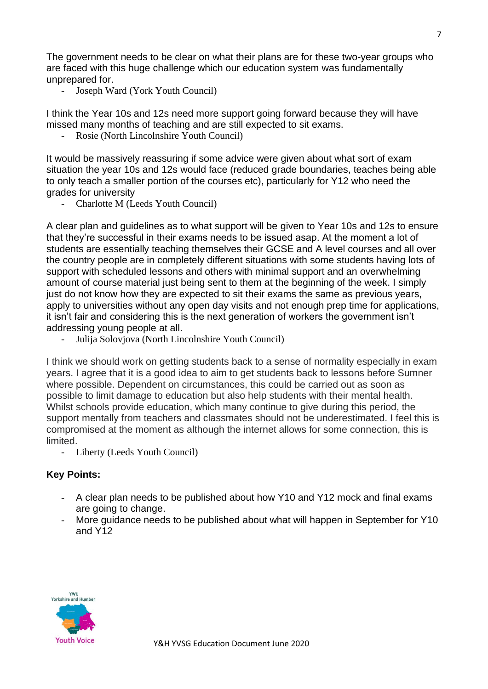The government needs to be clear on what their plans are for these two-year groups who are faced with this huge challenge which our education system was fundamentally unprepared for.

Joseph Ward (York Youth Council)

I think the Year 10s and 12s need more support going forward because they will have missed many months of teaching and are still expected to sit exams.

- Rosie (North Lincolnshire Youth Council)

It would be massively reassuring if some advice were given about what sort of exam situation the year 10s and 12s would face (reduced grade boundaries, teaches being able to only teach a smaller portion of the courses etc), particularly for Y12 who need the grades for university

- Charlotte M (Leeds Youth Council)

A clear plan and guidelines as to what support will be given to Year 10s and 12s to ensure that they're successful in their exams needs to be issued asap. At the moment a lot of students are essentially teaching themselves their GCSE and A level courses and all over the country people are in completely different situations with some students having lots of support with scheduled lessons and others with minimal support and an overwhelming amount of course material just being sent to them at the beginning of the week. I simply just do not know how they are expected to sit their exams the same as previous years, apply to universities without any open day visits and not enough prep time for applications, it isn't fair and considering this is the next generation of workers the government isn't addressing young people at all.

- Julija Solovjova (North Lincolnshire Youth Council)

I think we should work on getting students back to a sense of normality especially in exam years. I agree that it is a good idea to aim to get students back to lessons before Sumner where possible. Dependent on circumstances, this could be carried out as soon as possible to limit damage to education but also help students with their mental health. Whilst schools provide education, which many continue to give during this period, the support mentally from teachers and classmates should not be underestimated. I feel this is compromised at the moment as although the internet allows for some connection, this is limited.

- Liberty (Leeds Youth Council)

### **Key Points:**

- A clear plan needs to be published about how Y10 and Y12 mock and final exams are going to change.
- More guidance needs to be published about what will happen in September for Y10 and Y12

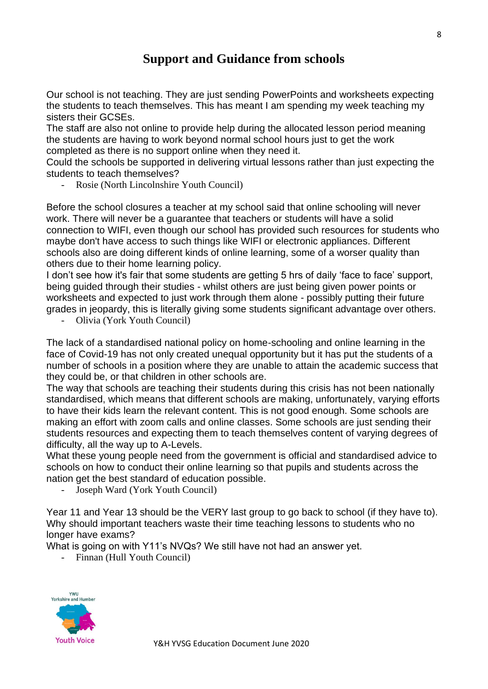# **Support and Guidance from schools**

Our school is not teaching. They are just sending PowerPoints and worksheets expecting the students to teach themselves. This has meant I am spending my week teaching my sisters their GCSEs.

The staff are also not online to provide help during the allocated lesson period meaning the students are having to work beyond normal school hours just to get the work completed as there is no support online when they need it.

Could the schools be supported in delivering virtual lessons rather than just expecting the students to teach themselves?

- Rosie (North Lincolnshire Youth Council)

Before the school closures a teacher at my school said that online schooling will never work. There will never be a guarantee that teachers or students will have a solid connection to WIFI, even though our school has provided such resources for students who maybe don't have access to such things like WIFI or electronic appliances. Different schools also are doing different kinds of online learning, some of a worser quality than others due to their home learning policy.

I don't see how it's fair that some students are getting 5 hrs of daily 'face to face' support, being guided through their studies - whilst others are just being given power points or worksheets and expected to just work through them alone - possibly putting their future grades in jeopardy, this is literally giving some students significant advantage over others.

- Olivia (York Youth Council)

The lack of a standardised national policy on home-schooling and online learning in the face of Covid-19 has not only created unequal opportunity but it has put the students of a number of schools in a position where they are unable to attain the academic success that they could be, or that children in other schools are.

The way that schools are teaching their students during this crisis has not been nationally standardised, which means that different schools are making, unfortunately, varying efforts to have their kids learn the relevant content. This is not good enough. Some schools are making an effort with zoom calls and online classes. Some schools are just sending their students resources and expecting them to teach themselves content of varying degrees of difficulty, all the way up to A-Levels.

What these young people need from the government is official and standardised advice to schools on how to conduct their online learning so that pupils and students across the nation get the best standard of education possible.

Joseph Ward (York Youth Council)

Year 11 and Year 13 should be the VERY last group to go back to school (if they have to). Why should important teachers waste their time teaching lessons to students who no longer have exams?

What is going on with Y11's NVQs? We still have not had an answer yet.

- Finnan (Hull Youth Council)

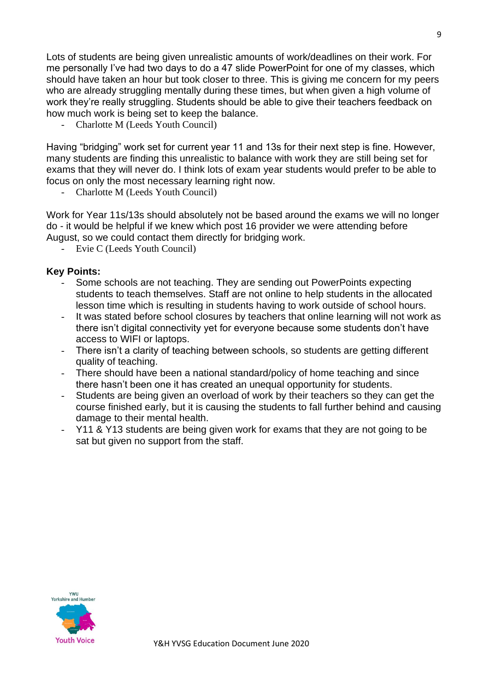Lots of students are being given unrealistic amounts of work/deadlines on their work. For me personally I've had two days to do a 47 slide PowerPoint for one of my classes, which should have taken an hour but took closer to three. This is giving me concern for my peers who are already struggling mentally during these times, but when given a high volume of work they're really struggling. Students should be able to give their teachers feedback on how much work is being set to keep the balance.

- Charlotte M (Leeds Youth Council)

Having "bridging" work set for current year 11 and 13s for their next step is fine. However, many students are finding this unrealistic to balance with work they are still being set for exams that they will never do. I think lots of exam year students would prefer to be able to focus on only the most necessary learning right now.

- Charlotte M (Leeds Youth Council)

Work for Year 11s/13s should absolutely not be based around the exams we will no longer do - it would be helpful if we knew which post 16 provider we were attending before August, so we could contact them directly for bridging work.

- Evie C (Leeds Youth Council)

#### **Key Points:**

- Some schools are not teaching. They are sending out PowerPoints expecting students to teach themselves. Staff are not online to help students in the allocated lesson time which is resulting in students having to work outside of school hours.
- It was stated before school closures by teachers that online learning will not work as there isn't digital connectivity yet for everyone because some students don't have access to WIFI or laptops.
- There isn't a clarity of teaching between schools, so students are getting different quality of teaching.
- There should have been a national standard/policy of home teaching and since there hasn't been one it has created an unequal opportunity for students.
- Students are being given an overload of work by their teachers so they can get the course finished early, but it is causing the students to fall further behind and causing damage to their mental health.
- Y11 & Y13 students are being given work for exams that they are not going to be sat but given no support from the staff.

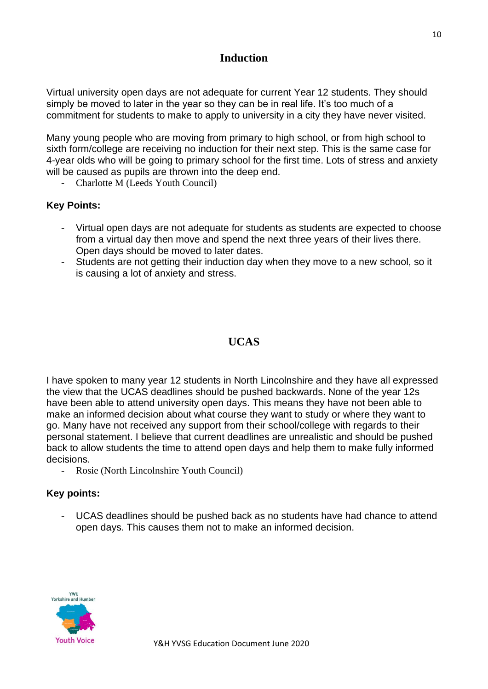### **Induction**

Virtual university open days are not adequate for current Year 12 students. They should simply be moved to later in the year so they can be in real life. It's too much of a commitment for students to make to apply to university in a city they have never visited.

Many young people who are moving from primary to high school, or from high school to sixth form/college are receiving no induction for their next step. This is the same case for 4-year olds who will be going to primary school for the first time. Lots of stress and anxiety will be caused as pupils are thrown into the deep end.

- Charlotte M (Leeds Youth Council)

### **Key Points:**

- Virtual open days are not adequate for students as students are expected to choose from a virtual day then move and spend the next three years of their lives there. Open days should be moved to later dates.
- Students are not getting their induction day when they move to a new school, so it is causing a lot of anxiety and stress.

# **UCAS**

I have spoken to many year 12 students in North Lincolnshire and they have all expressed the view that the UCAS deadlines should be pushed backwards. None of the year 12s have been able to attend university open days. This means they have not been able to make an informed decision about what course they want to study or where they want to go. Many have not received any support from their school/college with regards to their personal statement. I believe that current deadlines are unrealistic and should be pushed back to allow students the time to attend open days and help them to make fully informed decisions.

- Rosie (North Lincolnshire Youth Council)

### **Key points:**

- UCAS deadlines should be pushed back as no students have had chance to attend open days. This causes them not to make an informed decision.

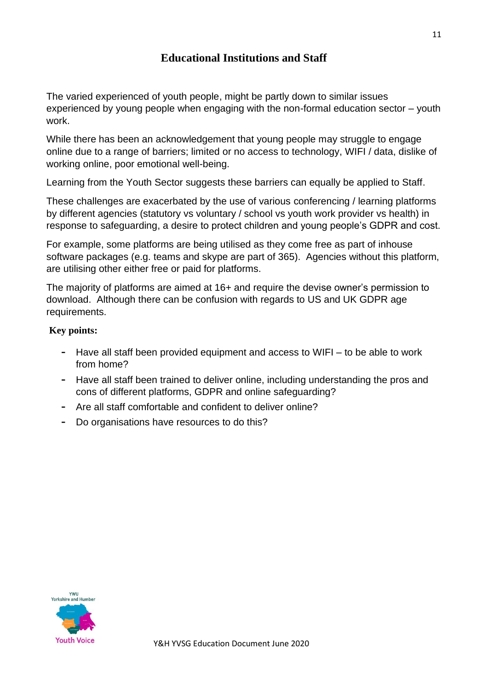## **Educational Institutions and Staff**

The varied experienced of youth people, might be partly down to similar issues experienced by young people when engaging with the non-formal education sector – youth work.

While there has been an acknowledgement that young people may struggle to engage online due to a range of barriers; limited or no access to technology, WIFI / data, dislike of working online, poor emotional well-being.

Learning from the Youth Sector suggests these barriers can equally be applied to Staff.

These challenges are exacerbated by the use of various conferencing / learning platforms by different agencies (statutory vs voluntary / school vs youth work provider vs health) in response to safeguarding, a desire to protect children and young people's GDPR and cost.

For example, some platforms are being utilised as they come free as part of inhouse software packages (e.g. teams and skype are part of 365). Agencies without this platform, are utilising other either free or paid for platforms.

The majority of platforms are aimed at 16+ and require the devise owner's permission to download. Although there can be confusion with regards to US and UK GDPR age requirements.

#### **Key points:**

- **-** Have all staff been provided equipment and access to WIFI to be able to work from home?
- **-** Have all staff been trained to deliver online, including understanding the pros and cons of different platforms, GDPR and online safeguarding?
- **-** Are all staff comfortable and confident to deliver online?
- **-** Do organisations have resources to do this?

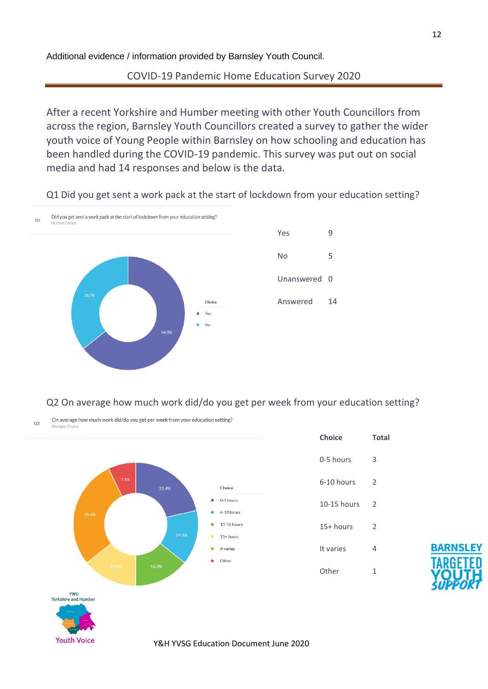Additional evidence / information provided by Barnsley Youth Council.

COVID-19 Pandemic Home Education Survey 2020

After a recent Yorkshire and Humber meeting with other Youth Councillors from across the region, Barnsley Youth Councillors created a survey to gather the wider youth voice of Young People within Barnsley on how schooling and education has been handled during the COVID-19 pandemic. This survey was put out on social media and had 14 responses and below is the data.

Q1 Did you get sent a work pack at the start of lockdown from your education setting?



Q2 On average how much work did/do you get per week from your education setting?



Y&H YVSG Education Document June 2020

**BARNSI**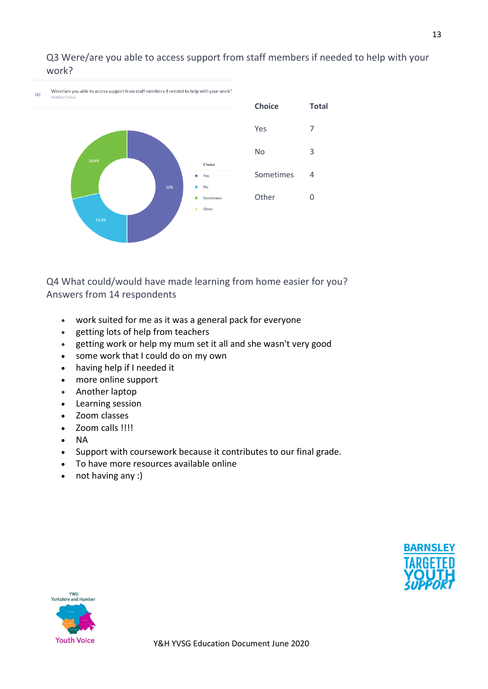Q3 Were/are you able to access support from staff members if needed to help with your work?



Q4 What could/would have made learning from home easier for you? Answers from 14 respondents

- work suited for me as it was a general pack for everyone
- getting lots of help from teachers
- getting work or help my mum set it all and she wasn't very good
- some work that I could do on my own
- having help if I needed it
- more online support
- Another laptop
- Learning session
- Zoom classes
- Zoom calls !!!!
- NA
- Support with coursework because it contributes to our final grade.
- To have more resources available online
- not having any :)



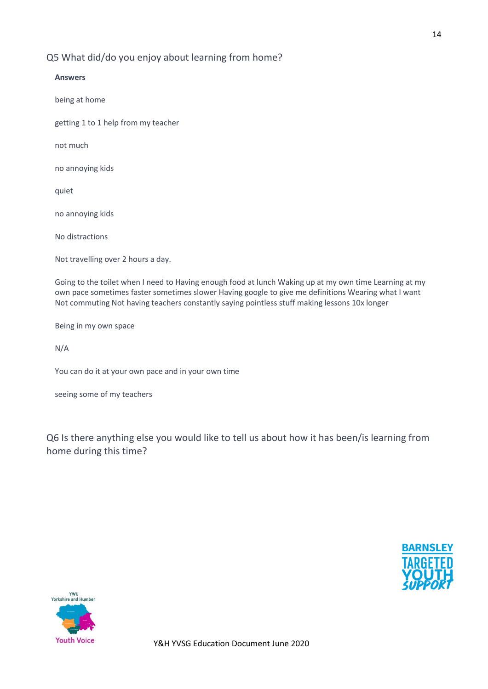### Q5 What did/do you enjoy about learning from home?

| <b>Answers</b>                                                                                                                                                                                                                                                                                                 |
|----------------------------------------------------------------------------------------------------------------------------------------------------------------------------------------------------------------------------------------------------------------------------------------------------------------|
| being at home                                                                                                                                                                                                                                                                                                  |
| getting 1 to 1 help from my teacher                                                                                                                                                                                                                                                                            |
| not much                                                                                                                                                                                                                                                                                                       |
| no annoying kids                                                                                                                                                                                                                                                                                               |
| quiet                                                                                                                                                                                                                                                                                                          |
| no annoying kids                                                                                                                                                                                                                                                                                               |
| No distractions                                                                                                                                                                                                                                                                                                |
| Not travelling over 2 hours a day.                                                                                                                                                                                                                                                                             |
| Going to the toilet when I need to Having enough food at lunch Waking up at my own time Learning at my<br>own pace sometimes faster sometimes slower Having google to give me definitions Wearing what I want<br>Not commuting Not having teachers constantly saying pointless stuff making lessons 10x longer |

Being in my own space

N/A

You can do it at your own pace and in your own time

seeing some of my teachers

Q6 Is there anything else you would like to tell us about how it has been/is learning from home during this time?



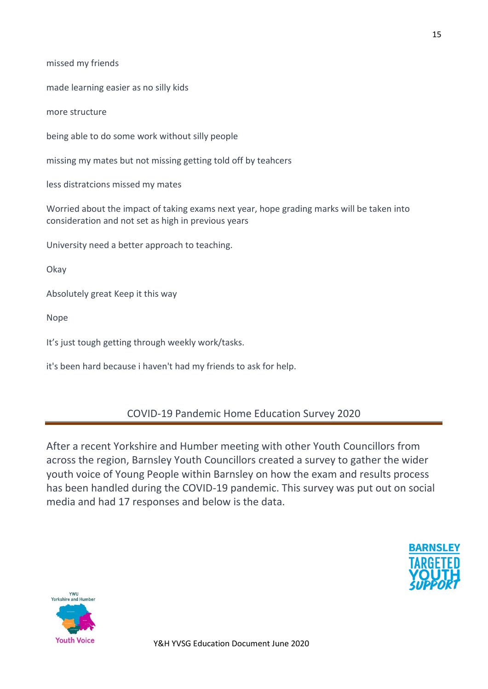It's just tough getting through weekly work/tasks.

Absolutely great Keep it this way

missed my friends

more structure

Okay

Nope

made learning easier as no silly kids

less distratcions missed my mates

being able to do some work without silly people

consideration and not set as high in previous years

University need a better approach to teaching.

missing my mates but not missing getting told off by teahcers

it's been hard because i haven't had my friends to ask for help.

#### COVID-19 Pandemic Home Education Survey 2020

Worried about the impact of taking exams next year, hope grading marks will be taken into

After a recent Yorkshire and Humber meeting with other Youth Councillors from across the region, Barnsley Youth Councillors created a survey to gather the wider youth voice of Young People within Barnsley on how the exam and results process has been handled during the COVID-19 pandemic. This survey was put out on social media and had 17 responses and below is the data.



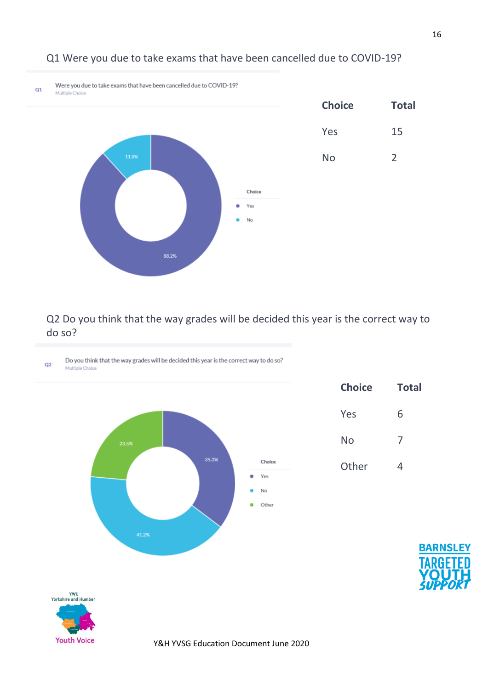

### Q1 Were you due to take exams that have been cancelled due to COVID-19?

Were you due to take exams that have been cancelled due to COVID-19?  $Q1$ Multiple Choice

Q2 Do you think that the way grades will be decided this year is the correct way to do so?

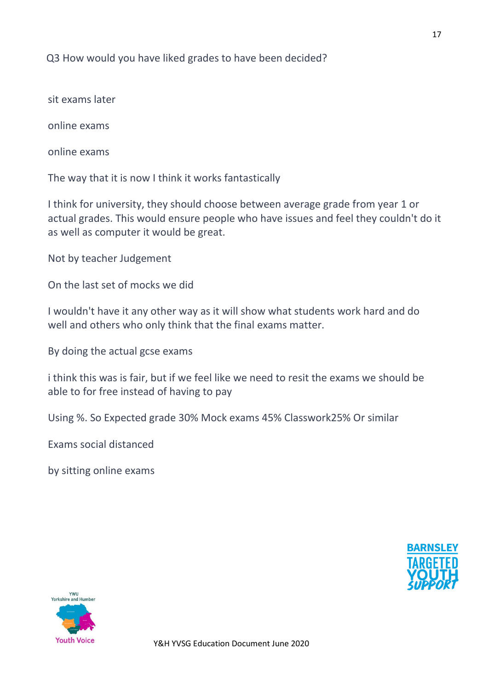Q3 How would you have liked grades to have been decided?

sit exams later

online exams

online exams

The way that it is now I think it works fantastically

I think for university, they should choose between average grade from year 1 or actual grades. This would ensure people who have issues and feel they couldn't do it as well as computer it would be great.

Not by teacher Judgement

On the last set of mocks we did

I wouldn't have it any other way as it will show what students work hard and do well and others who only think that the final exams matter.

By doing the actual gcse exams

i think this was is fair, but if we feel like we need to resit the exams we should be able to for free instead of having to pay

Using %. So Expected grade 30% Mock exams 45% Classwork25% Or similar

Exams social distanced

by sitting online exams